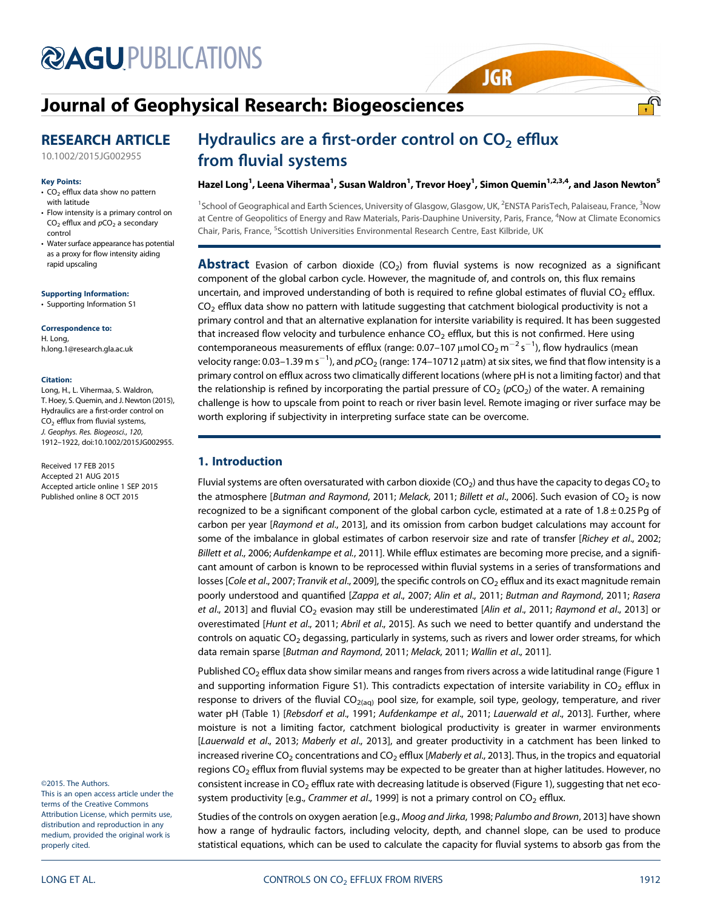# **@AGU[PUBLICATIONS](http://publications.agu.org/journals/)**

# [Journal of Geophysical Research: Biogeosciences](http://onlinelibrary.wiley.com/journal/10.1002/(ISSN)2169-8961)

## RESEARCH ARTICLE

[10.1002/2015JG002955](http://dx.doi.org/10.1002/2015JG002955)

#### Key Points:

- $\cdot$  CO<sub>2</sub> efflux data show no pattern with latitude
- Flow intensity is a primary control on  $CO<sub>2</sub>$  efflux and  $pCO<sub>2</sub>$  a secondary control
- Water surface appearance has potential as a proxy for flow intensity aiding rapid upscaling

#### [Supporting Information:](http://dx.doi.org/10.1002/2015JG002955)

[•](http://dx.doi.org/10.1002/2015JG002955) [Supporting Information S1](http://dx.doi.org/10.1002/2015JG002955)

Correspondence to: H. Long, h.long.1@research.gla.ac.uk

#### Citation:

Long, H., L. Vihermaa, S. Waldron, T. Hoey, S. Quemin, and J. Newton (2015), Hydraulics are a first-order control on  $CO<sub>2</sub>$  efflux from fluvial systems, J. Geophys. Res. Biogeosci., 120, 1912–1922, doi:10.1002/2015JG002955.

Received 17 FEB 2015 Accepted 21 AUG 2015 Accepted article online 1 SEP 2015 Published online 8 OCT 2015

©2015. The Authors.

This is an open access article under the terms of the Creative Commons Attribution License, which permits use, distribution and reproduction in any medium, provided the original work is properly cited.

## Hydraulics are a first-order control on  $CO<sub>2</sub>$  efflux from fluvial systems

#### Hazel Long<sup>1</sup>, Leena Vihermaa<sup>1</sup>, Susan Waldron<sup>1</sup>, Trevor Hoey<sup>1</sup>, Simon Quemin<sup>1,2,3,4</sup>, and Jason Newton<sup>5</sup>

**JGR** 

<sup>1</sup>School of Geographical and Earth Sciences, University of Glasgow, Glasgow, UK, <sup>2</sup>ENSTA ParisTech, Palaiseau, France, <sup>3</sup>Now at Centre of Geopolitics of Energy and Raw Materials, Paris-Dauphine University, Paris, France, <sup>4</sup>Now at Climate Economics Chair, Paris, France, <sup>5</sup>Scottish Universities Environmental Research Centre, East Kilbride, UK

**Abstract** Evasion of carbon dioxide ( $CO<sub>2</sub>$ ) from fluvial systems is now recognized as a significant component of the global carbon cycle. However, the magnitude of, and controls on, this flux remains uncertain, and improved understanding of both is required to refine global estimates of fluvial  $CO<sub>2</sub>$  efflux.  $CO<sub>2</sub>$  efflux data show no pattern with latitude suggesting that catchment biological productivity is not a primary control and that an alternative explanation for intersite variability is required. It has been suggested that increased flow velocity and turbulence enhance  $CO<sub>2</sub>$  efflux, but this is not confirmed. Here using contemporaneous measurements of efflux (range: 0.07–107 μmol CO<sub>2</sub> m $^{-2}$  s $^{-1}$ ), flow hydraulics (mean velocity range: 0.03–1.39 m s $^{-1}$ ), and  $p$ CO<sub>2</sub> (range: 174–10712  $\mu$ atm) at six sites, we find that flow intensity is a primary control on efflux across two climatically different locations (where pH is not a limiting factor) and that the relationship is refined by incorporating the partial pressure of  $CO_2$  ( $pCO_2$ ) of the water. A remaining challenge is how to upscale from point to reach or river basin level. Remote imaging or river surface may be worth exploring if subjectivity in interpreting surface state can be overcome.

## 1. Introduction

Fluvial systems are often oversaturated with carbon dioxide (CO<sub>2</sub>) and thus have the capacity to degas CO<sub>2</sub> to the atmosphere [Butman and Raymond, 2011; Melack, 2011; Billett et al., 2006]. Such evasion of  $CO<sub>2</sub>$  is now recognized to be a significant component of the global carbon cycle, estimated at a rate of 1.8 ± 0.25 Pg of carbon per year [Raymond et al., 2013], and its omission from carbon budget calculations may account for some of the imbalance in global estimates of carbon reservoir size and rate of transfer [Richey et al., 2002; Billett et al., 2006; Aufdenkampe et al., 2011]. While efflux estimates are becoming more precise, and a significant amount of carbon is known to be reprocessed within fluvial systems in a series of transformations and losses [Cole et al., 2007; Tranvik et al., 2009], the specific controls on  $CO<sub>2</sub>$  efflux and its exact magnitude remain poorly understood and quantified [Zappa et al., 2007; Alin et al., 2011; Butman and Raymond, 2011; Rasera et al., 2013] and fluvial CO<sub>2</sub> evasion may still be underestimated [Alin et al., 2011; Raymond et al., 2013] or overestimated [Hunt et al., 2011; Abril et al., 2015]. As such we need to better quantify and understand the controls on aquatic CO<sub>2</sub> degassing, particularly in systems, such as rivers and lower order streams, for which data remain sparse [Butman and Raymond, 2011; Melack, 2011; Wallin et al., 2011].

Published CO<sub>2</sub> efflux data show similar means and ranges from rivers across a wide latitudinal range (Figure 1 and supporting information Figure S1). This contradicts expectation of intersite variability in  $CO<sub>2</sub>$  efflux in response to drivers of the fluvial  $CO<sub>2(aq)</sub>$  pool size, for example, soil type, geology, temperature, and river water pH (Table 1) [Rebsdorf et al., 1991; Aufdenkampe et al., 2011; Lauerwald et al., 2013]. Further, where moisture is not a limiting factor, catchment biological productivity is greater in warmer environments [Lauerwald et al., 2013; Maberly et al., 2013], and greater productivity in a catchment has been linked to increased riverine CO<sub>2</sub> concentrations and CO<sub>2</sub> efflux [Maberly et al., 2013]. Thus, in the tropics and equatorial regions CO<sub>2</sub> efflux from fluvial systems may be expected to be greater than at higher latitudes. However, no consistent increase in  $CO<sub>2</sub>$  efflux rate with decreasing latitude is observed (Figure 1), suggesting that net ecosystem productivity [e.g., Crammer et al., 1999] is not a primary control on  $CO<sub>2</sub>$  efflux.

Studies of the controls on oxygen aeration [e.g., Moog and Jirka, 1998; Palumbo and Brown, 2013] have shown how a range of hydraulic factors, including velocity, depth, and channel slope, can be used to produce statistical equations, which can be used to calculate the capacity for fluvial systems to absorb gas from the

<u>.എ</u>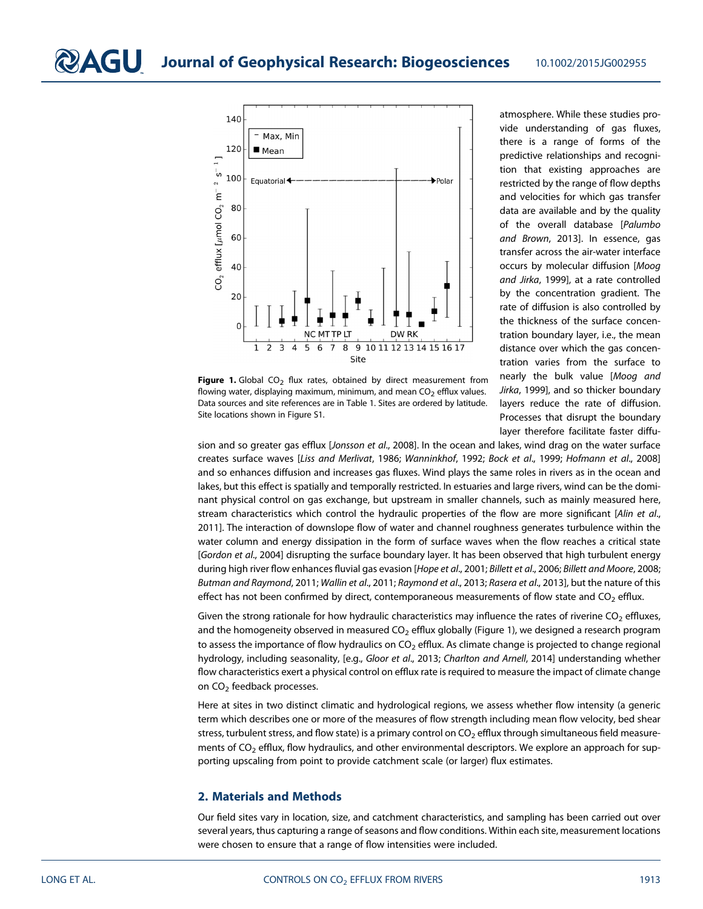

Figure 1. Global  $CO<sub>2</sub>$  flux rates, obtained by direct measurement from flowing water, displaying maximum, minimum, and mean  $CO<sub>2</sub>$  efflux values. Data sources and site references are in Table 1. Sites are ordered by latitude. Site locations shown in Figure S1.

atmosphere. While these studies provide understanding of gas fluxes, there is a range of forms of the predictive relationships and recognition that existing approaches are restricted by the range of flow depths and velocities for which gas transfer data are available and by the quality of the overall database [Palumbo and Brown, 2013]. In essence, gas transfer across the air-water interface occurs by molecular diffusion [Moog and Jirka, 1999], at a rate controlled by the concentration gradient. The rate of diffusion is also controlled by the thickness of the surface concentration boundary layer, i.e., the mean distance over which the gas concentration varies from the surface to nearly the bulk value [Moog and Jirka, 1999], and so thicker boundary layers reduce the rate of diffusion. Processes that disrupt the boundary layer therefore facilitate faster diffu-

sion and so greater gas efflux [Jonsson et al., 2008]. In the ocean and lakes, wind drag on the water surface creates surface waves [Liss and Merlivat, 1986; Wanninkhof, 1992; Bock et al., 1999; Hofmann et al., 2008] and so enhances diffusion and increases gas fluxes. Wind plays the same roles in rivers as in the ocean and lakes, but this effect is spatially and temporally restricted. In estuaries and large rivers, wind can be the dominant physical control on gas exchange, but upstream in smaller channels, such as mainly measured here, stream characteristics which control the hydraulic properties of the flow are more significant [Alin et al., 2011]. The interaction of downslope flow of water and channel roughness generates turbulence within the water column and energy dissipation in the form of surface waves when the flow reaches a critical state [Gordon et al., 2004] disrupting the surface boundary layer. It has been observed that high turbulent energy during high river flow enhances fluvial gas evasion [Hope et al., 2001; Billett et al., 2006; Billett and Moore, 2008; Butman and Raymond, 2011; Wallin et al., 2011; Raymond et al., 2013; Rasera et al., 2013], but the nature of this effect has not been confirmed by direct, contemporaneous measurements of flow state and  $CO<sub>2</sub>$  efflux.

Given the strong rationale for how hydraulic characteristics may influence the rates of riverine  $CO<sub>2</sub>$  effluxes, and the homogeneity observed in measured  $CO<sub>2</sub>$  efflux globally (Figure 1), we designed a research program to assess the importance of flow hydraulics on  $CO<sub>2</sub>$  efflux. As climate change is projected to change regional hydrology, including seasonality, [e.g., Gloor et al., 2013; Charlton and Arnell, 2014] understanding whether flow characteristics exert a physical control on efflux rate is required to measure the impact of climate change on CO<sub>2</sub> feedback processes.

Here at sites in two distinct climatic and hydrological regions, we assess whether flow intensity (a generic term which describes one or more of the measures of flow strength including mean flow velocity, bed shear stress, turbulent stress, and flow state) is a primary control on  $CO<sub>2</sub>$  efflux through simultaneous field measurements of  $CO<sub>2</sub>$  efflux, flow hydraulics, and other environmental descriptors. We explore an approach for supporting upscaling from point to provide catchment scale (or larger) flux estimates.

#### 2. Materials and Methods

Our field sites vary in location, size, and catchment characteristics, and sampling has been carried out over several years, thus capturing a range of seasons and flow conditions. Within each site, measurement locations were chosen to ensure that a range of flow intensities were included.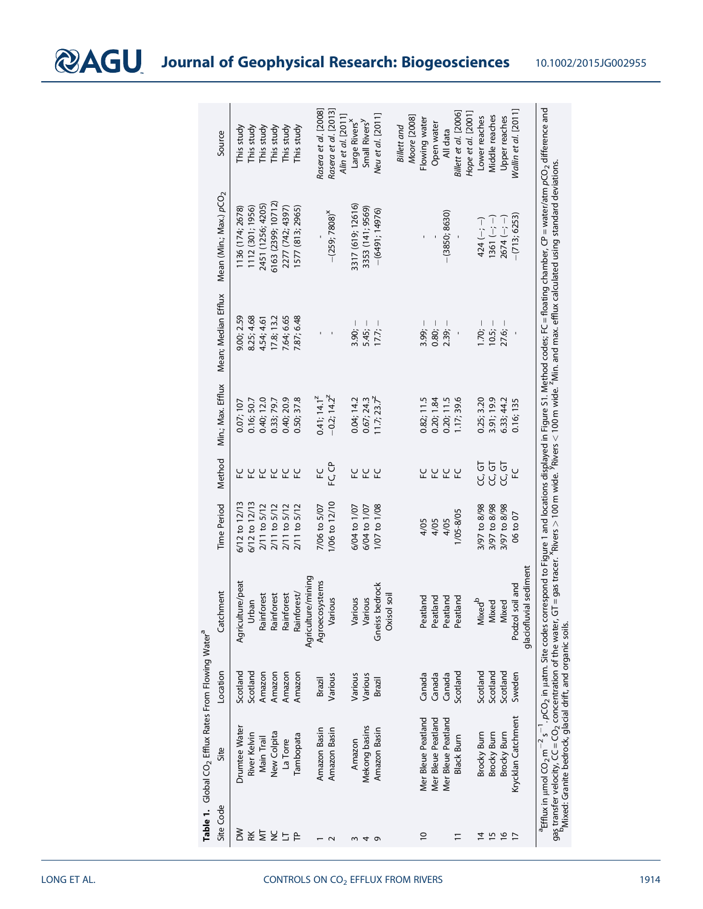bMixed: Granite bedrock, glacial drift, and organic soils.

|                         | Table 1. Global CO <sub>2</sub> Efflux Rates From Flowing Water <sup>a</sup> |          |                        |                    |                   |                         |                          |                                                                                                                                                                                                                                                                                                                                                                                                                                                                                                   |                           |
|-------------------------|------------------------------------------------------------------------------|----------|------------------------|--------------------|-------------------|-------------------------|--------------------------|---------------------------------------------------------------------------------------------------------------------------------------------------------------------------------------------------------------------------------------------------------------------------------------------------------------------------------------------------------------------------------------------------------------------------------------------------------------------------------------------------|---------------------------|
| Site Code               | Site                                                                         | Location | Catchment              | <b>Time Period</b> | Method            | Min.; Max. Efflux       | Mean; Median Efflux      | Mean (Min.; Max.) $pCO2$                                                                                                                                                                                                                                                                                                                                                                                                                                                                          | Source                    |
| ŠΜ                      | Drumtee Water                                                                | Scotland | Agriculture/peat       | 6/12 to 12/13      |                   | 0.07; 107               | 9.00; 2.59               | 1136 (174; 2678)                                                                                                                                                                                                                                                                                                                                                                                                                                                                                  | This study                |
| RK                      | River Kelvin                                                                 | Scotland | Urban                  | $6/12$ to $12/13$  | 잎                 | 0.16; 50.7              | 8.25; 4.68               | 1112 (301; 1956)                                                                                                                                                                                                                                                                                                                                                                                                                                                                                  | This study                |
| $\overline{\mathsf{M}}$ | Main Trail                                                                   | Amazon   | Rainforest             | 2/11 to 5/12       | 잎                 | 0.40; 12.0              | 4.54; 4.61               | 2451 (1256; 4205)                                                                                                                                                                                                                                                                                                                                                                                                                                                                                 | This study                |
| š                       | New Colpita                                                                  | Amazon   | Rainforest             | 2/11 to 5/12       |                   | 0.33; 79.7              | 17.8; 13.2               | 6163 (2399; 10712)                                                                                                                                                                                                                                                                                                                                                                                                                                                                                | This study                |
| $\Box$                  | La Torre                                                                     | Amazon   | Rainforest             | 2/11 to 5/12       |                   | 0.40; 20.9              | 7.64; 6.65               | 2277 (742; 4397)                                                                                                                                                                                                                                                                                                                                                                                                                                                                                  | This study                |
| $\mathsf{P}$            | Tambopata                                                                    | Amazon   | Rainforest/            | 2/11 to 5/12       |                   | 0.50; 37.8              | 7.87; 6.48               | 1577 (813; 2965)                                                                                                                                                                                                                                                                                                                                                                                                                                                                                  | This study                |
|                         |                                                                              |          | Agriculture/mining     |                    |                   |                         |                          |                                                                                                                                                                                                                                                                                                                                                                                                                                                                                                   |                           |
|                         | Amazon Basin                                                                 | Brazil   | Agroecosystems         | 7/06 to 5/07       | 잎                 | 0.41; 14.1 <sup>z</sup> | $\mathbf{I}$             |                                                                                                                                                                                                                                                                                                                                                                                                                                                                                                   | Rasera et al. [2008]      |
|                         | Amazon Basin                                                                 | Various  | Various                | 1/06 to 12/10      | FC <sub>C</sub> P | $-0.2; 14.2^z$          | $\overline{\phantom{a}}$ | $-(259; 7808)^{x}$                                                                                                                                                                                                                                                                                                                                                                                                                                                                                | Rasera et al. [2013]      |
|                         |                                                                              |          |                        |                    |                   |                         |                          |                                                                                                                                                                                                                                                                                                                                                                                                                                                                                                   | Alin et al. [2011]        |
| $\sim$                  | Amazon                                                                       | Various  | Various                | 6/04 to 1/07       | FC                | 0.04; 14.2              | $3.90 -$                 | 3317 (619; 12616)                                                                                                                                                                                                                                                                                                                                                                                                                                                                                 | Large Rivers <sup>x</sup> |
| 4                       | Mekong basins                                                                | Various  | Various                | 6/04 to 1/07       | 잎                 | 0.67; 24.3              | $5.45:-$                 | 3353 (141; 9569)                                                                                                                                                                                                                                                                                                                                                                                                                                                                                  | Small Rivers <sup>y</sup> |
| $\sigma$                | Amazon Basin                                                                 | Brazil   | Gneiss bedrock         | 1/07 to 1/08       | 닢                 | 11.7; 23.7 <sup>z</sup> | 17.7:                    | $-(649; 14976)$                                                                                                                                                                                                                                                                                                                                                                                                                                                                                   | Neu et al. [2011]         |
|                         |                                                                              |          | Oxisol soil            |                    |                   |                         |                          |                                                                                                                                                                                                                                                                                                                                                                                                                                                                                                   |                           |
|                         |                                                                              |          |                        |                    |                   |                         |                          |                                                                                                                                                                                                                                                                                                                                                                                                                                                                                                   | <b>Billett</b> and        |
|                         |                                                                              |          |                        |                    |                   |                         |                          |                                                                                                                                                                                                                                                                                                                                                                                                                                                                                                   | Moore [2008]              |
| $\overline{0}$          | Mer Bleue Peatland                                                           | Canada   | Peatland               | 4/05               | FC                | 0.82; 11.5              | $3.99 -$                 |                                                                                                                                                                                                                                                                                                                                                                                                                                                                                                   | Flowing water             |
|                         | Mer Bleue Peatland                                                           | Canada   | Peatland               | 4/05               | L C<br>L          | 0.20; 1.84              | $0.80 -$                 |                                                                                                                                                                                                                                                                                                                                                                                                                                                                                                   | Open water                |
|                         | Mer Bleue Peatland                                                           | Canada   | Peatland               | 4/05               |                   | 0.20; 11.5              | $2.39i -$                | $-(3850; 8630)$                                                                                                                                                                                                                                                                                                                                                                                                                                                                                   | All data                  |
| $\Xi$                   | <b>Black Burn</b>                                                            | Scotland | Peatland               | 1/05-8/05          | 잎                 | 1.7; 39.6               | $\overline{\phantom{a}}$ |                                                                                                                                                                                                                                                                                                                                                                                                                                                                                                   | Billett et al. [2006]     |
|                         |                                                                              |          |                        |                    |                   |                         |                          |                                                                                                                                                                                                                                                                                                                                                                                                                                                                                                   | Hope et al. [2001]        |
|                         | Brocky Burn                                                                  | Scotland | Mixed <sup>b</sup>     | 3/97 to 8/98       | CC, GT            | 0.25; 3.20              | $1.70:-$                 | $424(-,-)$                                                                                                                                                                                                                                                                                                                                                                                                                                                                                        | Lower reaches             |
| $\frac{4}{4}$ in        | Brocky Bum                                                                   | Scotland | Mixed                  | 3/97 to 8/98       | CC, GT            | 3.91;19.9               | $10.5; -$                | $1361 (-; -)$                                                                                                                                                                                                                                                                                                                                                                                                                                                                                     | Middle reaches            |
| $\frac{6}{2}$           | Brocky Bum                                                                   | Scotland | Mixed                  | 3/97 to 8/98       | CC, GT            | 6.33; 44.2              | $27.6; -$                | $2674$ (-; -)                                                                                                                                                                                                                                                                                                                                                                                                                                                                                     | Upper reaches             |
| $\overline{1}$          | Krycklan Catchment                                                           | Sweden   | Podzol soil and        | 06 to 07           | ۲C                | 0.16; 135               |                          | $-(713; 6253)$                                                                                                                                                                                                                                                                                                                                                                                                                                                                                    | Nallin et al. [2011]      |
|                         |                                                                              |          | glaciofluvial sediment |                    |                   |                         |                          |                                                                                                                                                                                                                                                                                                                                                                                                                                                                                                   |                           |
|                         |                                                                              |          |                        |                    |                   |                         |                          | $^2$ Efflux in $\mu$ mol CO <sub>2</sub> m $^{-2}$ s $^{-1}$ . pCO <sub>2</sub> in $\mu$ atm. Site codes correspond to Figure 1 and locations displayed in Figure S1. Method codes; FC = floating chamber, CP = water/atm pCO <sub>2</sub> difference and<br>gas transfer velocity, CC = CO <sub>2</sub> concentration of the water, GT = gas tracer. <sup>X</sup> Rivers > 100 m wide. <sup>X</sup> Rivers < 100 m wide. <sup>7</sup> Min. and max. efflux calculated using standard deviations. |                           |
|                         |                                                                              |          |                        |                    |                   |                         |                          |                                                                                                                                                                                                                                                                                                                                                                                                                                                                                                   |                           |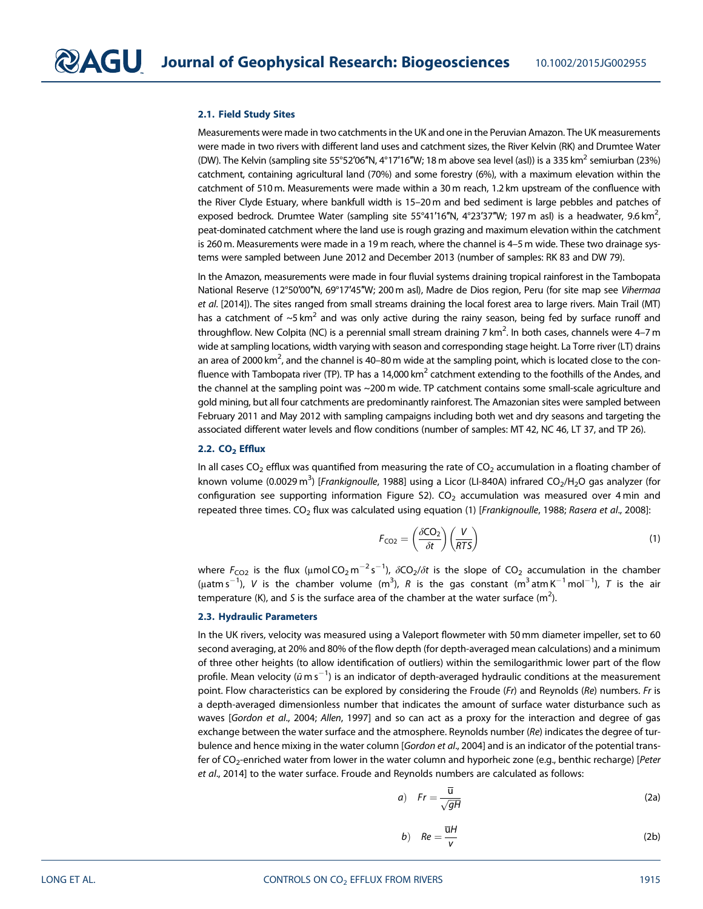#### 2.1. Field Study Sites

Measurements were made in two catchments in the UK and one in the Peruvian Amazon. The UK measurements were made in two rivers with different land uses and catchment sizes, the River Kelvin (RK) and Drumtee Water (DW). The Kelvin (sampling site 55°52′06″N, 4°17′16″W; 18 m above sea level (asl)) is a 335 km<sup>2</sup> semiurban (23%) catchment, containing agricultural land (70%) and some forestry (6%), with a maximum elevation within the catchment of 510 m. Measurements were made within a 30 m reach, 1.2 km upstream of the confluence with the River Clyde Estuary, where bankfull width is 15–20 m and bed sediment is large pebbles and patches of exposed bedrock. Drumtee Water (sampling site 55°41'16"N, 4°23'37"W; 197 m asl) is a headwater, 9.6 km<sup>2</sup>, , peat-dominated catchment where the land use is rough grazing and maximum elevation within the catchment is 260 m. Measurements were made in a 19 m reach, where the channel is 4–5 m wide. These two drainage systems were sampled between June 2012 and December 2013 (number of samples: RK 83 and DW 79).

In the Amazon, measurements were made in four fluvial systems draining tropical rainforest in the Tambopata National Reserve (12°50′00″N, 69°17′45″W; 200 m asl), Madre de Dios region, Peru (for site map see Vihermaa et al. [2014]). The sites ranged from small streams draining the local forest area to large rivers. Main Trail (MT) has a catchment of  $\sim$ 5 km<sup>2</sup> and was only active during the rainy season, being fed by surface runoff and throughflow. New Colpita (NC) is a perennial small stream draining 7 km<sup>2</sup>. In both cases, channels were 4–7 m wide at sampling locations, width varying with season and corresponding stage height. La Torre river (LT) drains an area of 2000 km $^2$ , and the channel is 40–80 m wide at the sampling point, which is located close to the confluence with Tambopata river (TP). TP has a 14,000 km<sup>2</sup> catchment extending to the foothills of the Andes, and the channel at the sampling point was ~200 m wide. TP catchment contains some small-scale agriculture and gold mining, but all four catchments are predominantly rainforest. The Amazonian sites were sampled between February 2011 and May 2012 with sampling campaigns including both wet and dry seasons and targeting the associated different water levels and flow conditions (number of samples: MT 42, NC 46, LT 37, and TP 26).

#### $2.2. CO<sub>2</sub>$  Efflux

In all cases  $CO_2$  efflux was quantified from measuring the rate of  $CO_2$  accumulation in a floating chamber of known volume (0.0029 m $^3$ ) [*Frankignoulle*, 1988] using a Licor (LI-840A) infrared CO<sub>2</sub>/H<sub>2</sub>O gas analyzer (for configuration see supporting information Figure S2).  $CO<sub>2</sub>$  accumulation was measured over 4 min and repeated three times. CO<sub>2</sub> flux was calculated using equation (1) [Frankignoulle, 1988; Rasera et al., 2008]:

$$
F_{\rm CO2} = \left(\frac{\delta \rm CO_2}{\delta t}\right) \left(\frac{V}{RTS}\right) \tag{1}
$$

where  $F_{\rm CO2}$  is the flux (µmol CO<sub>2</sub> m<sup>-2</sup> s<sup>-1</sup>),  $\delta$ CO<sub>2</sub>/ $\delta t$  is the slope of CO<sub>2</sub> accumulation in the chamber (µatm s<sup>-1</sup>), V is the chamber volume (m<sup>3</sup>), R is the gas constant (m<sup>3</sup>atm K<sup>-1</sup> mol<sup>-1</sup>), T is the air temperature (K), and S is the surface area of the chamber at the water surface (m<sup>2</sup>).

#### 2.3. Hydraulic Parameters

In the UK rivers, velocity was measured using a Valeport flowmeter with 50 mm diameter impeller, set to 60 second averaging, at 20% and 80% of the flow depth (for depth-averaged mean calculations) and a minimum of three other heights (to allow identification of outliers) within the semilogarithmic lower part of the flow profile. Mean velocity ( $\tilde{u}$  m s $^{-1}$ ) is an indicator of depth-averaged hydraulic conditions at the measurement point. Flow characteristics can be explored by considering the Froude (Fr) and Reynolds (Re) numbers. Fr is a depth-averaged dimensionless number that indicates the amount of surface water disturbance such as waves [Gordon et al., 2004; Allen, 1997] and so can act as a proxy for the interaction and degree of gas exchange between the water surface and the atmosphere. Reynolds number ( $Re$ ) indicates the degree of turbulence and hence mixing in the water column [Gordon et al., 2004] and is an indicator of the potential transfer of  $CO_2$ -enriched water from lower in the water column and hyporheic zone (e.g., benthic recharge) [Peter et al., 2014] to the water surface. Froude and Reynolds numbers are calculated as follows:

$$
a) \quad Fr = \frac{\overline{u}}{\sqrt{gH}} \tag{2a}
$$

$$
b) \quad Re = \frac{\overline{u}H}{v} \tag{2b}
$$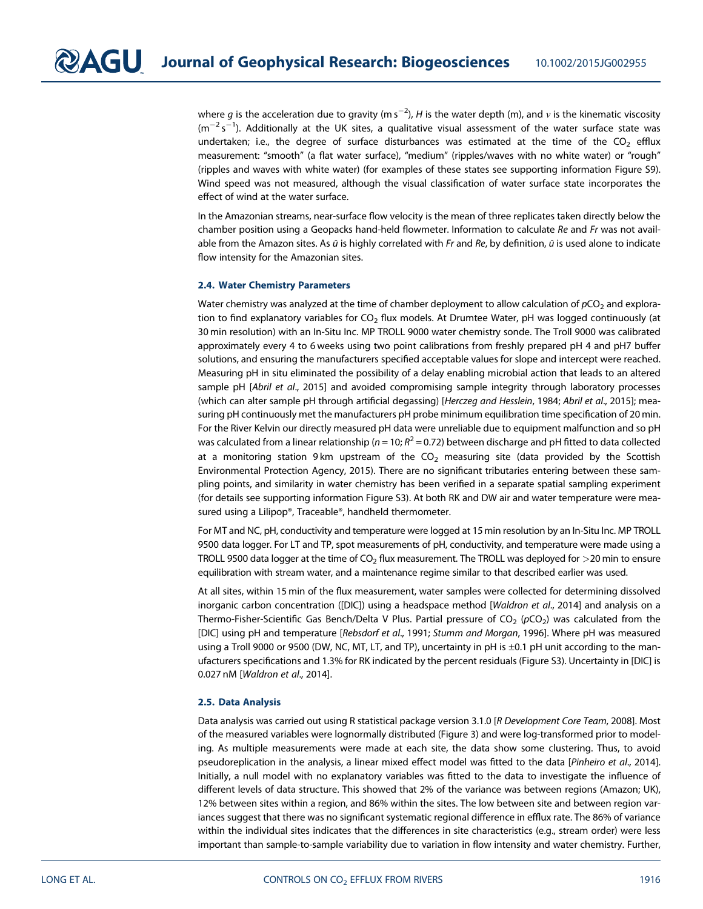where  $g$  is the acceleration due to gravity (m s $^{-2}$ ), H is the water depth (m), and  $\nu$  is the kinematic viscosity  $(m^{-2} s^{-1})$ . Additionally at the UK sites, a qualitative visual assessment of the water surface state was undertaken; i.e., the degree of surface disturbances was estimated at the time of the  $CO<sub>2</sub>$  efflux measurement: "smooth" (a flat water surface), "medium" (ripples/waves with no white water) or "rough" (ripples and waves with white water) (for examples of these states see supporting information Figure S9). Wind speed was not measured, although the visual classification of water surface state incorporates the effect of wind at the water surface.

In the Amazonian streams, near-surface flow velocity is the mean of three replicates taken directly below the chamber position using a Geopacks hand-held flowmeter. Information to calculate Re and Fr was not available from the Amazon sites. As  $\bar{u}$  is highly correlated with Fr and Re, by definition,  $\bar{u}$  is used alone to indicate flow intensity for the Amazonian sites.

#### 2.4. Water Chemistry Parameters

Water chemistry was analyzed at the time of chamber deployment to allow calculation of  $pCO<sub>2</sub>$  and exploration to find explanatory variables for  $CO<sub>2</sub>$  flux models. At Drumtee Water, pH was logged continuously (at 30 min resolution) with an In-Situ Inc. MP TROLL 9000 water chemistry sonde. The Troll 9000 was calibrated approximately every 4 to 6 weeks using two point calibrations from freshly prepared pH 4 and pH7 buffer solutions, and ensuring the manufacturers specified acceptable values for slope and intercept were reached. Measuring pH in situ eliminated the possibility of a delay enabling microbial action that leads to an altered sample pH [Abril et al., 2015] and avoided compromising sample integrity through laboratory processes (which can alter sample pH through artificial degassing) [Herczeg and Hesslein, 1984; Abril et al., 2015]; measuring pH continuously met the manufacturers pH probe minimum equilibration time specification of 20 min. For the River Kelvin our directly measured pH data were unreliable due to equipment malfunction and so pH was calculated from a linear relationship ( $n = 10$ ;  $R^2 = 0.72$ ) between discharge and pH fitted to data collected at a monitoring station 9 km upstream of the  $CO<sub>2</sub>$  measuring site (data provided by the Scottish Environmental Protection Agency, 2015). There are no significant tributaries entering between these sampling points, and similarity in water chemistry has been verified in a separate spatial sampling experiment (for details see supporting information Figure S3). At both RK and DW air and water temperature were measured using a Lilipop®, Traceable®, handheld thermometer.

For MT and NC, pH, conductivity and temperature were logged at 15 min resolution by an In-Situ Inc. MP TROLL 9500 data logger. For LT and TP, spot measurements of pH, conductivity, and temperature were made using a TROLL 9500 data logger at the time of  $CO<sub>2</sub>$  flux measurement. The TROLL was deployed for  $>$ 20 min to ensure equilibration with stream water, and a maintenance regime similar to that described earlier was used.

At all sites, within 15 min of the flux measurement, water samples were collected for determining dissolved inorganic carbon concentration ([DIC]) using a headspace method [Waldron et al., 2014] and analysis on a Thermo-Fisher-Scientific Gas Bench/Delta V Plus. Partial pressure of  $CO<sub>2</sub>$  (pCO<sub>2</sub>) was calculated from the [DIC] using pH and temperature [Rebsdorf et al., 1991; Stumm and Morgan, 1996]. Where pH was measured using a Troll 9000 or 9500 (DW, NC, MT, LT, and TP), uncertainty in pH is ±0.1 pH unit according to the manufacturers specifications and 1.3% for RK indicated by the percent residuals (Figure S3). Uncertainty in [DIC] is 0.027 nM [Waldron et al., 2014].

#### 2.5. Data Analysis

Data analysis was carried out using R statistical package version 3.1.0 [R Development Core Team, 2008]. Most of the measured variables were lognormally distributed (Figure 3) and were log-transformed prior to modeling. As multiple measurements were made at each site, the data show some clustering. Thus, to avoid pseudoreplication in the analysis, a linear mixed effect model was fitted to the data [Pinheiro et al., 2014]. Initially, a null model with no explanatory variables was fitted to the data to investigate the influence of different levels of data structure. This showed that 2% of the variance was between regions (Amazon; UK), 12% between sites within a region, and 86% within the sites. The low between site and between region variances suggest that there was no significant systematic regional difference in efflux rate. The 86% of variance within the individual sites indicates that the differences in site characteristics (e.g., stream order) were less important than sample-to-sample variability due to variation in flow intensity and water chemistry. Further,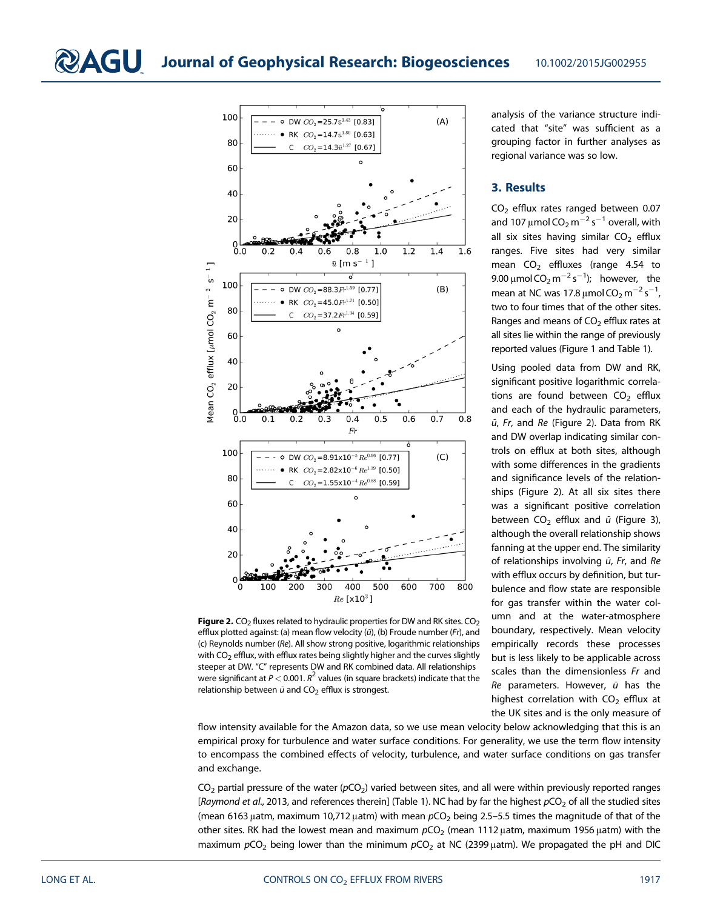

**Figure 2.** CO<sub>2</sub> fluxes related to hydraulic properties for DW and RK sites. CO<sub>2</sub> efflux plotted against: (a) mean flow velocity (ū), (b) Froude number (Fr), and (c) Reynolds number (Re). All show strong positive, logarithmic relationships with  $CO<sub>2</sub>$  efflux, with efflux rates being slightly higher and the curves slightly steeper at DW. "C" represents DW and RK combined data. All relationships were significant at  $P < 0.001$ .  $R^2$  values (in square brackets) indicate that the relationship between  $\bar{u}$  and CO<sub>2</sub> efflux is strongest.

analysis of the variance structure indicated that "site" was sufficient as a grouping factor in further analyses as regional variance was so low.

#### 3. Results

 $CO<sub>2</sub>$  efflux rates ranged between 0.07 and 107  $\mu$ mol CO $_2$  m $^{-2}$  s $^{-1}$  overall, with all six sites having similar  $CO<sub>2</sub>$  efflux ranges. Five sites had very similar mean  $CO<sub>2</sub>$  effluxes (range 4.54 to 9.00  $\mu$ mol CO $_2$  m $^{-2}$  s $^{-1}$ ); however, the mean at NC was 17.8  $\mu$ mol CO<sub>2</sub> m<sup>-2</sup> s<sup>-1</sup> , two to four times that of the other sites. Ranges and means of  $CO<sub>2</sub>$  efflux rates at all sites lie within the range of previously reported values (Figure 1 and Table 1).

Using pooled data from DW and RK, significant positive logarithmic correlations are found between  $CO<sub>2</sub>$  efflux and each of the hydraulic parameters, ū, Fr, and Re (Figure 2). Data from RK and DW overlap indicating similar controls on efflux at both sites, although with some differences in the gradients and significance levels of the relationships (Figure 2). At all six sites there was a significant positive correlation between  $CO<sub>2</sub>$  efflux and  $\bar{u}$  (Figure 3), although the overall relationship shows fanning at the upper end. The similarity of relationships involving  $\bar{u}$ , Fr, and Re with efflux occurs by definition, but turbulence and flow state are responsible for gas transfer within the water column and at the water-atmosphere boundary, respectively. Mean velocity empirically records these processes but is less likely to be applicable across scales than the dimensionless Fr and Re parameters. However,  $\bar{u}$  has the highest correlation with  $CO<sub>2</sub>$  efflux at the UK sites and is the only measure of

flow intensity available for the Amazon data, so we use mean velocity below acknowledging that this is an empirical proxy for turbulence and water surface conditions. For generality, we use the term flow intensity to encompass the combined effects of velocity, turbulence, and water surface conditions on gas transfer and exchange.

 $CO<sub>2</sub>$  partial pressure of the water ( $pCO<sub>2</sub>$ ) varied between sites, and all were within previously reported ranges [Raymond et al., 2013, and references therein] (Table 1). NC had by far the highest  $pCO<sub>2</sub>$  of all the studied sites (mean 6163 μatm, maximum 10,712 μatm) with mean  $pCO<sub>2</sub>$  being 2.5–5.5 times the magnitude of that of the other sites. RK had the lowest mean and maximum  $pCO<sub>2</sub>$  (mean 1112  $\mu$ atm, maximum 1956  $\mu$ atm) with the maximum  $pCO<sub>2</sub>$  being lower than the minimum  $pCO<sub>2</sub>$  at NC (2399 µatm). We propagated the pH and DIC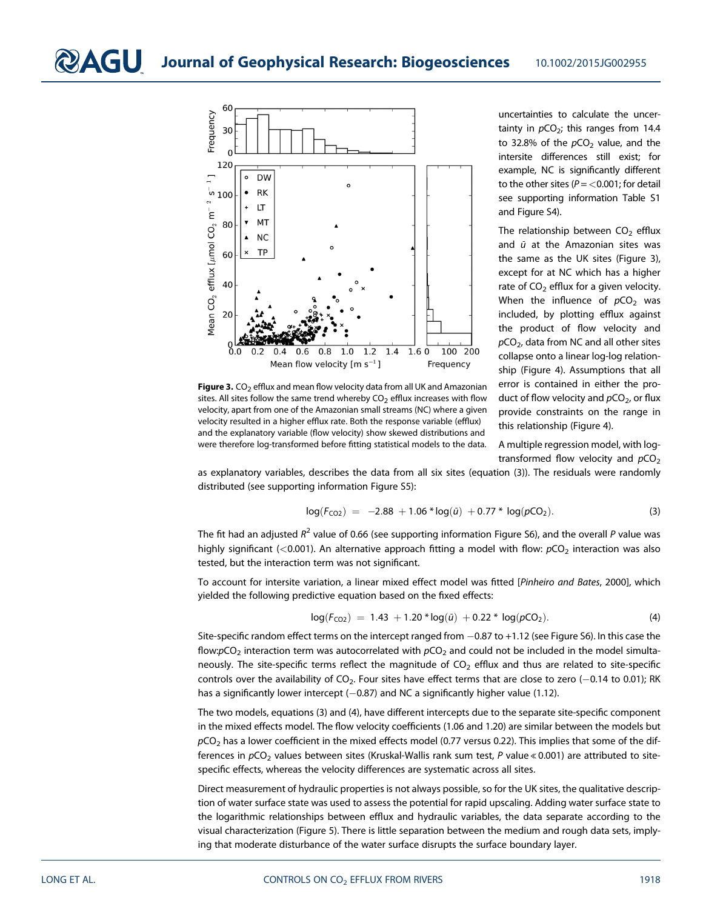

**Figure 3.** CO<sub>2</sub> efflux and mean flow velocity data from all UK and Amazonian sites. All sites follow the same trend whereby  $CO<sub>2</sub>$  efflux increases with flow velocity, apart from one of the Amazonian small streams (NC) where a given velocity resulted in a higher efflux rate. Both the response variable (efflux) and the explanatory variable (flow velocity) show skewed distributions and were therefore log-transformed before fitting statistical models to the data.

uncertainties to calculate the uncertainty in  $pCO<sub>2</sub>$ ; this ranges from 14.4 to 32.8% of the  $pCO<sub>2</sub>$  value, and the intersite differences still exist; for example, NC is significantly different to the other sites ( $P = < 0.001$ ; for detail see supporting information Table S1 and Figure S4).

The relationship between  $CO<sub>2</sub>$  efflux and  $\bar{u}$  at the Amazonian sites was the same as the UK sites (Figure 3), except for at NC which has a higher rate of  $CO<sub>2</sub>$  efflux for a given velocity. When the influence of  $pCO<sub>2</sub>$  was included, by plotting efflux against the product of flow velocity and  $pCO<sub>2</sub>$ , data from NC and all other sites collapse onto a linear log-log relationship (Figure 4). Assumptions that all error is contained in either the product of flow velocity and  $pCO<sub>2</sub>$ , or flux provide constraints on the range in this relationship (Figure 4).

A multiple regression model, with logtransformed flow velocity and  $pCO<sub>2</sub>$ 

as explanatory variables, describes the data from all six sites (equation (3)). The residuals were randomly distributed (see supporting information Figure S5):

$$
log(F_{CO2}) = -2.88 + 1.06 * log(\bar{u}) + 0.77 * log(pCO_2).
$$
 (3)

The fit had an adjusted  $R^2$  value of 0.66 (see supporting information Figure S6), and the overall P value was highly significant (<0.001). An alternative approach fitting a model with flow:  $pCO<sub>2</sub>$  interaction was also tested, but the interaction term was not significant.

To account for intersite variation, a linear mixed effect model was fitted [Pinheiro and Bates, 2000], which yielded the following predictive equation based on the fixed effects:

$$
log(F_{CO2}) = 1.43 + 1.20 * log(\bar{u}) + 0.22 * log(pCO_2).
$$
 (4)

Site-specific random effect terms on the intercept ranged from  $-0.87$  to  $+1.12$  (see Figure S6). In this case the flow: $pCO_2$  interaction term was autocorrelated with  $pCO_2$  and could not be included in the model simultaneously. The site-specific terms reflect the magnitude of  $CO<sub>2</sub>$  efflux and thus are related to site-specific controls over the availability of CO<sub>2</sub>. Four sites have effect terms that are close to zero (-0.14 to 0.01); RK has a significantly lower intercept  $(-0.87)$  and NC a significantly higher value (1.12).

The two models, equations (3) and (4), have different intercepts due to the separate site-specific component in the mixed effects model. The flow velocity coefficients (1.06 and 1.20) are similar between the models but  $pCO<sub>2</sub>$  has a lower coefficient in the mixed effects model (0.77 versus 0.22). This implies that some of the differences in  $pCO<sub>2</sub>$  values between sites (Kruskal-Wallis rank sum test, P value «0.001) are attributed to sitespecific effects, whereas the velocity differences are systematic across all sites.

Direct measurement of hydraulic properties is not always possible, so for the UK sites, the qualitative description of water surface state was used to assess the potential for rapid upscaling. Adding water surface state to the logarithmic relationships between efflux and hydraulic variables, the data separate according to the visual characterization (Figure 5). There is little separation between the medium and rough data sets, implying that moderate disturbance of the water surface disrupts the surface boundary layer.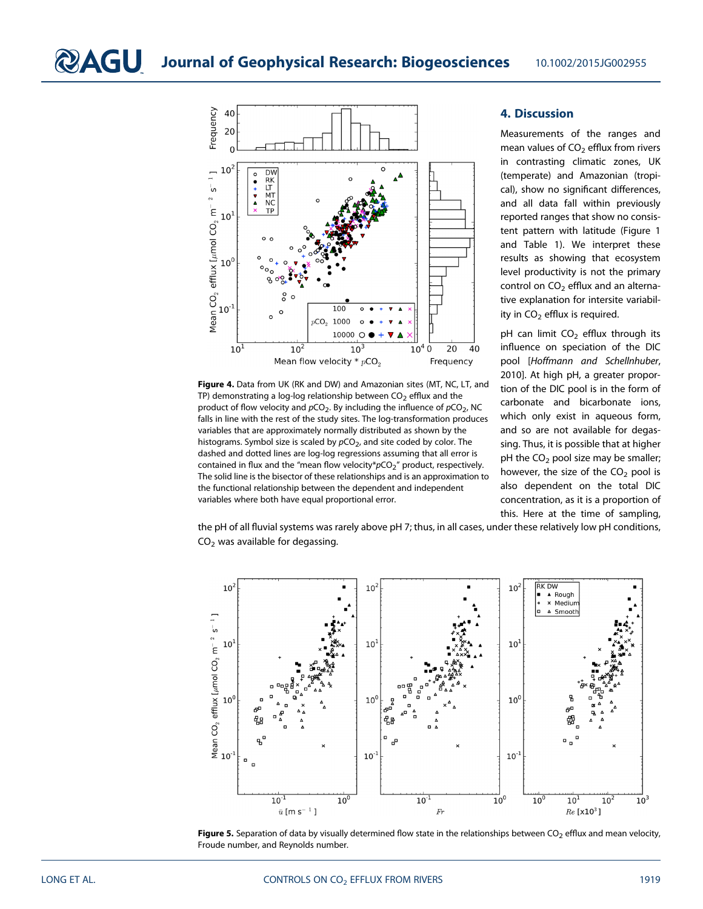

Figure 4. Data from UK (RK and DW) and Amazonian sites (MT, NC, LT, and TP) demonstrating a log-log relationship between  $CO<sub>2</sub>$  efflux and the product of flow velocity and  $pCO_2$ . By including the influence of  $pCO_2$ , NC falls in line with the rest of the study sites. The log-transformation produces variables that are approximately normally distributed as shown by the histograms. Symbol size is scaled by  $pCO<sub>2</sub>$ , and site coded by color. The dashed and dotted lines are log-log regressions assuming that all error is contained in flux and the "mean flow velocity\* $pCO_2$ " product, respectively. The solid line is the bisector of these relationships and is an approximation to the functional relationship between the dependent and independent variables where both have equal proportional error.

## 4. Discussion

Measurements of the ranges and mean values of  $CO<sub>2</sub>$  efflux from rivers in contrasting climatic zones, UK (temperate) and Amazonian (tropical), show no significant differences, and all data fall within previously reported ranges that show no consistent pattern with latitude (Figure 1 and Table 1). We interpret these results as showing that ecosystem level productivity is not the primary control on  $CO<sub>2</sub>$  efflux and an alternative explanation for intersite variability in  $CO<sub>2</sub>$  efflux is required.

pH can limit  $CO<sub>2</sub>$  efflux through its influence on speciation of the DIC pool [Hoffmann and Schellnhuber, 2010]. At high pH, a greater proportion of the DIC pool is in the form of carbonate and bicarbonate ions, which only exist in aqueous form, and so are not available for degassing. Thus, it is possible that at higher pH the  $CO<sub>2</sub>$  pool size may be smaller; however, the size of the  $CO<sub>2</sub>$  pool is also dependent on the total DIC concentration, as it is a proportion of this. Here at the time of sampling,

the pH of all fluvial systems was rarely above pH 7; thus, in all cases, under these relatively low pH conditions,  $CO<sub>2</sub>$  was available for degassing.



Figure 5. Separation of data by visually determined flow state in the relationships between  $CO<sub>2</sub>$  efflux and mean velocity, Froude number, and Reynolds number.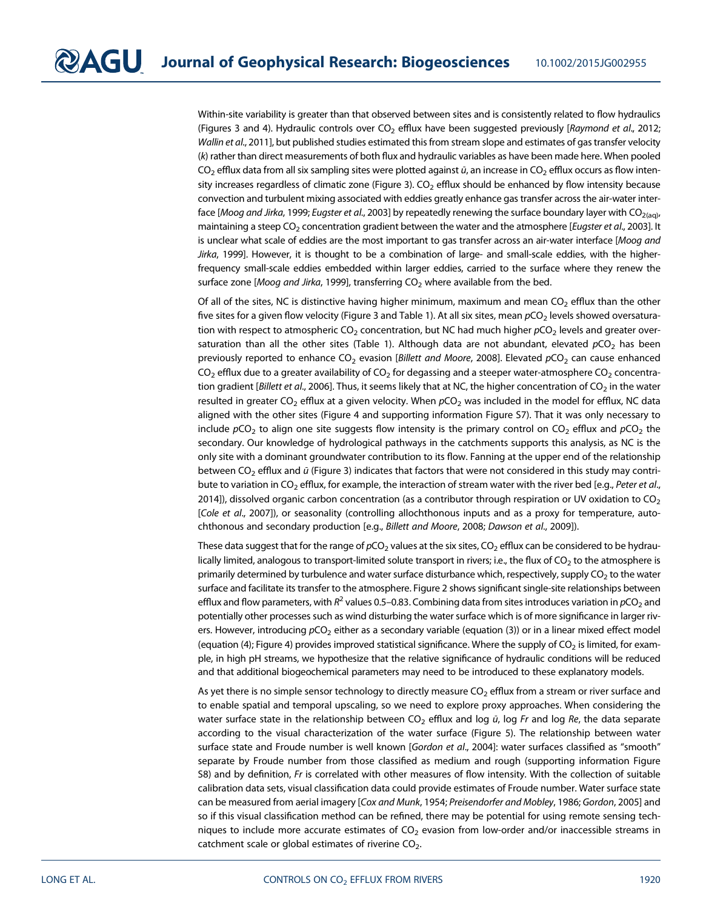Within-site variability is greater than that observed between sites and is consistently related to flow hydraulics (Figures 3 and 4). Hydraulic controls over  $CO<sub>2</sub>$  efflux have been suggested previously [Raymond et al., 2012; Wallin et al., 2011], but published studies estimated this from stream slope and estimates of gas transfer velocity (k) rather than direct measurements of both flux and hydraulic variables as have been made here. When pooled  $CO<sub>2</sub>$  efflux data from all six sampling sites were plotted against  $\ddot{u}$ , an increase in  $CO<sub>2</sub>$  efflux occurs as flow intensity increases regardless of climatic zone (Figure 3).  $CO<sub>2</sub>$  efflux should be enhanced by flow intensity because convection and turbulent mixing associated with eddies greatly enhance gas transfer across the air-water interface [Moog and Jirka, 1999; Eugster et al., 2003] by repeatedly renewing the surface boundary layer with  $CO_{2(aq)}$ , maintaining a steep CO<sub>2</sub> concentration gradient between the water and the atmosphere [Eugster et al., 2003]. It is unclear what scale of eddies are the most important to gas transfer across an air-water interface [Moog and Jirka, 1999]. However, it is thought to be a combination of large- and small-scale eddies, with the higherfrequency small-scale eddies embedded within larger eddies, carried to the surface where they renew the surface zone [Moog and Jirka, 1999], transferring  $CO<sub>2</sub>$  where available from the bed.

Of all of the sites, NC is distinctive having higher minimum, maximum and mean  $CO<sub>2</sub>$  efflux than the other five sites for a given flow velocity (Figure 3 and Table 1). At all six sites, mean pCO<sub>2</sub> levels showed oversaturation with respect to atmospheric  $CO<sub>2</sub>$  concentration, but NC had much higher  $pCO<sub>2</sub>$  levels and greater oversaturation than all the other sites (Table 1). Although data are not abundant, elevated  $pCO<sub>2</sub>$  has been previously reported to enhance CO<sub>2</sub> evasion [Billett and Moore, 2008]. Elevated  $pCO<sub>2</sub>$  can cause enhanced  $CO<sub>2</sub>$  efflux due to a greater availability of  $CO<sub>2</sub>$  for degassing and a steeper water-atmosphere  $CO<sub>2</sub>$  concentration gradient [Billett et al., 2006]. Thus, it seems likely that at NC, the higher concentration of  $CO<sub>2</sub>$  in the water resulted in greater CO<sub>2</sub> efflux at a given velocity. When  $pCO<sub>2</sub>$  was included in the model for efflux, NC data aligned with the other sites (Figure 4 and supporting information Figure S7). That it was only necessary to include  $pCO<sub>2</sub>$  to align one site suggests flow intensity is the primary control on CO<sub>2</sub> efflux and  $pCO<sub>2</sub>$  the secondary. Our knowledge of hydrological pathways in the catchments supports this analysis, as NC is the only site with a dominant groundwater contribution to its flow. Fanning at the upper end of the relationship between CO<sub>2</sub> efflux and  $\bar{u}$  (Figure 3) indicates that factors that were not considered in this study may contribute to variation in CO<sub>2</sub> efflux, for example, the interaction of stream water with the river bed [e.g., Peter et al., 2014]), dissolved organic carbon concentration (as a contributor through respiration or UV oxidation to  $CO<sub>2</sub>$ [Cole et al., 2007]), or seasonality (controlling allochthonous inputs and as a proxy for temperature, autochthonous and secondary production [e.g., Billett and Moore, 2008; Dawson et al., 2009]).

These data suggest that for the range of  $pCO_2$  values at the six sites,  $CO_2$  efflux can be considered to be hydraulically limited, analogous to transport-limited solute transport in rivers; i.e., the flux of  $CO<sub>2</sub>$  to the atmosphere is primarily determined by turbulence and water surface disturbance which, respectively, supply  $CO<sub>2</sub>$  to the water surface and facilitate its transfer to the atmosphere. Figure 2 shows significant single-site relationships between efflux and flow parameters, with  $R^2$  values 0.5–0.83. Combining data from sites introduces variation in  $pCO<sub>2</sub>$  and potentially other processes such as wind disturbing the water surface which is of more significance in larger rivers. However, introducing  $pCO<sub>2</sub>$  either as a secondary variable (equation (3)) or in a linear mixed effect model (equation (4); Figure 4) provides improved statistical significance. Where the supply of  $CO<sub>2</sub>$  is limited, for example, in high pH streams, we hypothesize that the relative significance of hydraulic conditions will be reduced and that additional biogeochemical parameters may need to be introduced to these explanatory models.

As yet there is no simple sensor technology to directly measure  $CO<sub>2</sub>$  efflux from a stream or river surface and to enable spatial and temporal upscaling, so we need to explore proxy approaches. When considering the water surface state in the relationship between  $CO<sub>2</sub>$  efflux and log  $\ddot{u}$ , log Fr and log Re, the data separate according to the visual characterization of the water surface (Figure 5). The relationship between water surface state and Froude number is well known [Gordon et al., 2004]: water surfaces classified as "smooth" separate by Froude number from those classified as medium and rough (supporting information Figure S8) and by definition, Fr is correlated with other measures of flow intensity. With the collection of suitable calibration data sets, visual classification data could provide estimates of Froude number. Water surface state can be measured from aerial imagery [Cox and Munk, 1954; Preisendorfer and Mobley, 1986; Gordon, 2005] and so if this visual classification method can be refined, there may be potential for using remote sensing techniques to include more accurate estimates of  $CO<sub>2</sub>$  evasion from low-order and/or inaccessible streams in catchment scale or global estimates of riverine  $CO<sub>2</sub>$ .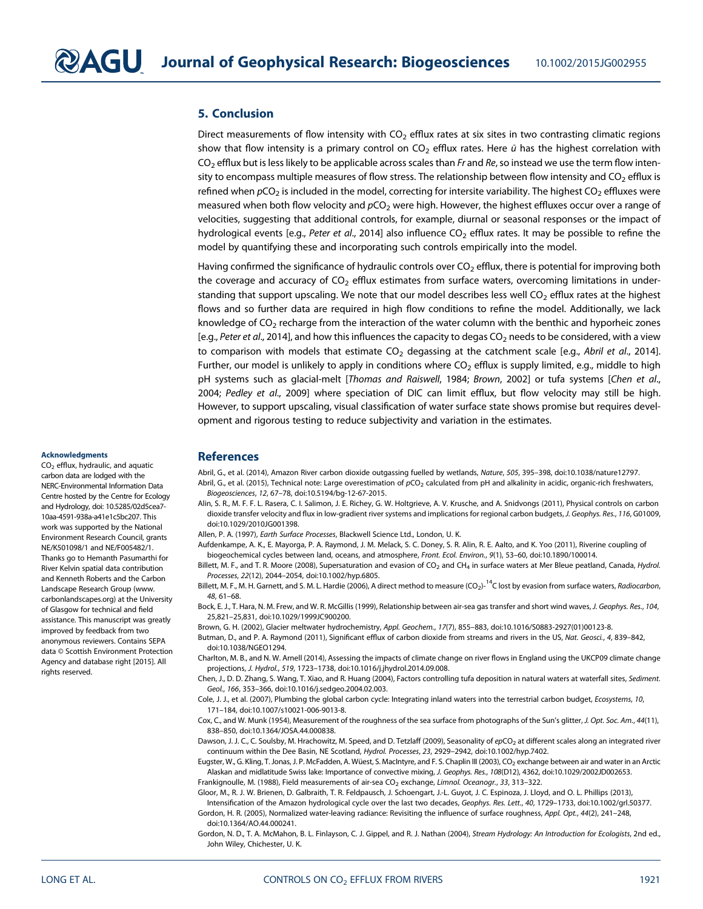#### 5. Conclusion

Direct measurements of flow intensity with  $CO<sub>2</sub>$  efflux rates at six sites in two contrasting climatic regions show that flow intensity is a primary control on  $CO<sub>2</sub>$  efflux rates. Here  $\bar{u}$  has the highest correlation with  $CO<sub>2</sub>$  efflux but is less likely to be applicable across scales than Fr and Re, so instead we use the term flow intensity to encompass multiple measures of flow stress. The relationship between flow intensity and  $CO<sub>2</sub>$  efflux is refined when  $pCO<sub>2</sub>$  is included in the model, correcting for intersite variability. The highest  $CO<sub>2</sub>$  effluxes were measured when both flow velocity and  $pCO<sub>2</sub>$  were high. However, the highest effluxes occur over a range of velocities, suggesting that additional controls, for example, diurnal or seasonal responses or the impact of hydrological events [e.g., Peter et al., 2014] also influence  $CO<sub>2</sub>$  efflux rates. It may be possible to refine the model by quantifying these and incorporating such controls empirically into the model.

Having confirmed the significance of hydraulic controls over  $CO<sub>2</sub>$  efflux, there is potential for improving both the coverage and accuracy of  $CO<sub>2</sub>$  efflux estimates from surface waters, overcoming limitations in understanding that support upscaling. We note that our model describes less well CO<sub>2</sub> efflux rates at the highest flows and so further data are required in high flow conditions to refine the model. Additionally, we lack knowledge of  $CO<sub>2</sub>$  recharge from the interaction of the water column with the benthic and hyporheic zones [e.g., Peter et al., 2014], and how this influences the capacity to degas  $CO<sub>2</sub>$  needs to be considered, with a view to comparison with models that estimate  $CO<sub>2</sub>$  degassing at the catchment scale [e.g., Abril et al., 2014]. Further, our model is unlikely to apply in conditions where  $CO<sub>2</sub>$  efflux is supply limited, e.g., middle to high pH systems such as glacial-melt [Thomas and Raiswell, 1984; Brown, 2002] or tufa systems [Chen et al., 2004; Pedley et al., 2009] where speciation of DIC can limit efflux, but flow velocity may still be high. However, to support upscaling, visual classification of water surface state shows promise but requires development and rigorous testing to reduce subjectivity and variation in the estimates.

#### Acknowledgments

 $CO<sub>2</sub>$  efflux, hydraulic, and aquatic carbon data are lodged with the NERC-Environmental Information Data Centre hosted by the Centre for Ecology and Hydrology, doi: 10.5285/02d5cea7- 10aa-4591-938a-a41e1c5bc207. This work was supported by the National Environment Research Council, grants NE/K501098/1 and NE/F005482/1. Thanks go to Hemanth Pasumarthi for River Kelvin spatial data contribution and Kenneth Roberts and the Carbon Landscape Research Group [\(www.](www.carbonlandscapes.org) [carbonlandscapes.org](www.carbonlandscapes.org)) at the University of Glasgow for technical and field assistance. This manuscript was greatly improved by feedback from two anonymous reviewers. Contains SEPA data © Scottish Environment Protection Agency and database right [2015]. All rights reserved.

#### **References**

Abril, G., et al. (2014), Amazon River carbon dioxide outgassing fuelled by wetlands, Nature, 505, 395–398, doi:[10.1038/nature12797.](http://dx.doi.org/10.1038/nature12797) Abril, G., et al. (2015), Technical note: Large overestimation of  $pCO<sub>2</sub>$  calculated from pH and alkalinity in acidic, organic-rich freshwaters, Biogeosciences, 12, 67–78, doi[:10.5194/bg-12-67-2015](http://dx.doi.org/10.5194/bg-12-67-2015).

- Alin, S. R., M. F. F. L. Rasera, C. I. Salimon, J. E. Richey, G. W. Holtgrieve, A. V. Krusche, and A. Snidvongs (2011), Physical controls on carbon dioxide transfer velocity and flux in low-gradient river systems and implications for regional carbon budgets, J. Geophys. Res., 116, G01009, doi[:10.1029/2010JG001398](http://dx.doi.org/10.1029/2010JG001398).
- Allen, P. A. (1997), Earth Surface Processes, Blackwell Science Ltd., London, U. K.
- Aufdenkampe, A. K., E. Mayorga, P. A. Raymond, J. M. Melack, S. C. Doney, S. R. Alin, R. E. Aalto, and K. Yoo (2011), Riverine coupling of biogeochemical cycles between land, oceans, and atmosphere, Front. Ecol. Environ., 9(1), 53–60, doi[:10.1890/100014](http://dx.doi.org/10.1890/100014).
- Billett, M. F., and T. R. Moore (2008), Supersaturation and evasion of CO<sub>2</sub> and CH<sub>4</sub> in surface waters at Mer Bleue peatland, Canada, Hydrol. Processes, 22(12), 2044–2054, doi[:10.1002/hyp.6805](http://dx.doi.org/10.1002/hyp.6805).
- Billett, M. F., M. H. Garnett, and S. M. L. Hardie (2006), A direct method to measure (CO<sub>2</sub>)-<sup>14</sup>C lost by evasion from surface waters, Radiocarbon, 48, 61–68.
- Bock, E. J., T. Hara, N. M. Frew, and W. R. McGillis (1999), Relationship between air-sea gas transfer and short wind waves, J. Geophys. Res., 104, 25,821–25,831, doi:[10.1029/1999JC900200](http://dx.doi.org/10.1029/1999JC900200).
- Brown, G. H. (2002), Glacier meltwater hydrochemistry, Appl. Geochem., 17(7), 855–883, doi[:10.1016/S0883-2927\(01\)00123-8](http://dx.doi.org/10.1016/S0883-2927(01)00123-8).
- Butman, D., and P. A. Raymond (2011), Significant efflux of carbon dioxide from streams and rivers in the US, Nat. Geosci., 4, 839–842, doi[:10.1038/NGEO1294](http://dx.doi.org/10.1038/NGEO1294).
- Charlton, M. B., and N. W. Arnell (2014), Assessing the impacts of climate change on river flows in England using the UKCP09 climate change projections, J. Hydrol., 519, 1723–1738, doi[:10.1016/j.jhydrol.2014.09.008](http://dx.doi.org/10.1016/j.jhydrol.2014.09.008).
- Chen, J., D. D. Zhang, S. Wang, T. Xiao, and R. Huang (2004), Factors controlling tufa deposition in natural waters at waterfall sites, Sediment. Geol., 166, 353–366, doi[:10.1016/j.sedgeo.2004.02.003](http://dx.doi.org/10.1016/j.sedgeo.2004.02.003).
- Cole, J. J., et al. (2007), Plumbing the global carbon cycle: Integrating inland waters into the terrestrial carbon budget, Ecosystems, 10, 171–184, doi:[10.1007/s10021-006-9013-8](http://dx.doi.org/10.1007/s10021-006-9013-8).
- Cox, C., and W. Munk (1954), Measurement of the roughness of the sea surface from photographs of the Sun's glitter, J. Opt. Soc. Am., 44(11), 838–850, doi:[10.1364/JOSA.44.000838](http://dx.doi.org/10.1364/JOSA.44.000838).
- Dawson, J. J. C., C. Soulsby, M. Hrachowitz, M. Speed, and D. Tetzlaff (2009), Seasonality of epCO<sub>2</sub> at different scales along an integrated river continuum within the Dee Basin, NE Scotland, Hydrol. Processes, 23, 2929–2942, doi:[10.1002/hyp.7402.](http://dx.doi.org/10.1002/hyp.7402)
- Eugster, W., G. Kling, T. Jonas, J. P. McFadden, A. Wüest, S. MacIntyre, and F. S. Chaplin III (2003), CO<sub>2</sub> exchange between air and water in an Arctic Alaskan and midlatitude Swiss lake: Importance of convective mixing, J. Geophys. Res., 108(D12), 4362, doi:[10.1029/2002JD002653](http://dx.doi.org/10.1029/2002JD002653). Frankignoulle, M. (1988), Field measurements of air-sea CO<sub>2</sub> exchange, Limnol. Oceanogr., 33, 313-322.
- Gloor, M., R. J. W. Brienen, D. Galbraith, T. R. Feldpausch, J. Schoengart, J.-L. Guyot, J. C. Espinoza, J. Lloyd, and O. L. Phillips (2013),
- Intensification of the Amazon hydrological cycle over the last two decades, Geophys. Res. Lett., 40, 1729–1733, doi:[10.1002/grl.50377](http://dx.doi.org/10.1002/grl.50377). Gordon, H. R. (2005), Normalized water-leaving radiance: Revisiting the influence of surface roughness, Appl. Opt., 44(2), 241–248, doi[:10.1364/AO.44.000241.](http://dx.doi.org/10.1364/AO.44.000241)
- Gordon, N. D., T. A. McMahon, B. L. Finlayson, C. J. Gippel, and R. J. Nathan (2004), Stream Hydrology: An Introduction for Ecologists, 2nd ed., John Wiley, Chichester, U. K.